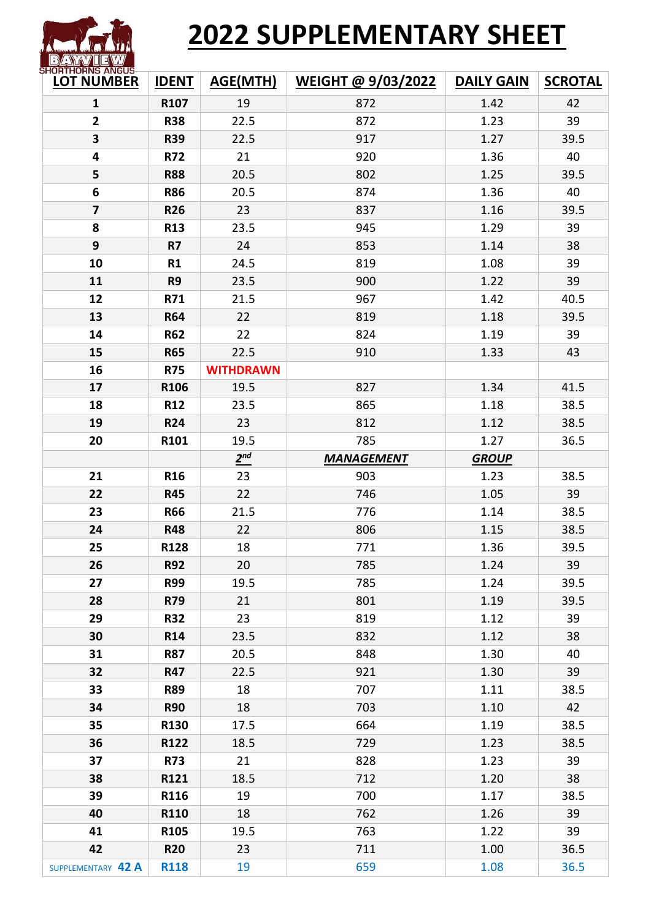# **2022 SUPPLEMENTARY SHEET**

| SHUKIHUKNS ANGUS-<br><b>LOT NUMBER</b> | <b>IDENT</b>     | <b>AGE(MTH)</b>  | WEIGHT @ 9/03/2022 | <b>DAILY GAIN</b> | <b>SCROTAL</b> |  |
|----------------------------------------|------------------|------------------|--------------------|-------------------|----------------|--|
| $\mathbf{1}$                           | R107             | 19               | 872                | 1.42              | 42             |  |
| $\overline{2}$                         | <b>R38</b>       | 22.5             | 872                | 1.23              | 39             |  |
| $\overline{\mathbf{3}}$                | <b>R39</b>       | 22.5             | 917                | 1.27              | 39.5           |  |
| 4                                      | <b>R72</b>       | 21               | 920                | 1.36              | 40             |  |
| 5                                      | <b>R88</b>       | 20.5             | 802                | 1.25              | 39.5           |  |
| 6                                      | <b>R86</b>       | 20.5             | 874                | 1.36              | 40             |  |
| $\overline{\mathbf{z}}$                | <b>R26</b>       | 23               | 837                | 1.16              | 39.5           |  |
| 8                                      | <b>R13</b>       | 23.5             | 945                | 1.29              | 39             |  |
| 9                                      | <b>R7</b>        | 24               | 853                | 1.14              | 38             |  |
| 10                                     | R1               | 24.5             | 819                | 1.08              | 39             |  |
| 11                                     | R <sub>9</sub>   | 23.5             | 900                | 1.22              | 39             |  |
| 12                                     | R71              | 21.5             | 967                | 1.42              | 40.5           |  |
| 13                                     | <b>R64</b>       | 22               | 819                | 1.18              | 39.5           |  |
| 14                                     | <b>R62</b>       | 22               | 824                | 1.19              | 39             |  |
| 15                                     | <b>R65</b>       | 22.5             | 910                | 1.33              | 43             |  |
| 16                                     | <b>R75</b>       | <b>WITHDRAWN</b> |                    |                   |                |  |
| 17                                     | R106             | 19.5             | 827                | 1.34              | 41.5           |  |
| 18                                     | R <sub>12</sub>  | 23.5             | 865                | 1.18              | 38.5           |  |
| 19                                     | <b>R24</b>       | 23               | 812                | 1.12              | 38.5           |  |
| 20                                     | R101             | 19.5             | 785                | 1.27              | 36.5           |  |
|                                        |                  | 2 <sup>nd</sup>  | <b>MANAGEMENT</b>  | <b>GROUP</b>      |                |  |
| 21                                     | <b>R16</b>       | 23               | 903                | 1.23              | 38.5           |  |
| 22                                     | <b>R45</b>       | 22               | 746                | 1.05              | 39             |  |
| 23                                     | <b>R66</b>       | 21.5             | 776                | 1.14              | 38.5           |  |
| 24                                     | <b>R48</b>       | 22               | 806                | 1.15              | 38.5           |  |
| 25                                     | R128             | 18               | 771                | 1.36              | 39.5           |  |
| 26                                     | <b>R92</b>       | 20               | 785                | 1.24              | 39             |  |
| 27                                     | <b>R99</b>       | 19.5             | 785                | 1.24              | 39.5           |  |
| 28                                     | R79              | 21               | 801                | 1.19              | 39.5           |  |
| 29                                     | <b>R32</b>       | 23               | 819                | 1.12              | 39             |  |
| 30                                     | R <sub>14</sub>  | 23.5             | 832                | 1.12              | 38             |  |
| 31                                     | <b>R87</b>       | 20.5             | 848                | 1.30              | 40             |  |
| 32                                     | <b>R47</b>       | 22.5             | 921                | 1.30              | 39             |  |
| 33                                     | <b>R89</b>       | 18               | 707                | 1.11              | 38.5           |  |
| 34                                     | <b>R90</b>       | 18               | 703                | 1.10              | 42             |  |
| 35                                     | R130             | 17.5             | 664                | 1.19              | 38.5           |  |
| 36                                     | R122             | 18.5             | 729                | 1.23              | 38.5           |  |
| 37                                     | <b>R73</b>       | 21               | 828                | 1.23              | 39             |  |
| 38                                     | R121             | 18.5             | 712                | 1.20              | 38             |  |
| 39                                     | R116             | 19               | 700                | 1.17              | 38.5           |  |
| 40                                     | R110             | 18               | 762                | 1.26              | 39             |  |
| 41                                     | R <sub>105</sub> | 19.5             | 763                | 1.22              | 39             |  |
| 42                                     | <b>R20</b>       | 23               | 711                | 1.00              | 36.5           |  |
| SUPPLEMENTARY 42 A                     | <b>R118</b>      | 19               | 659                | 1.08              | 36.5           |  |